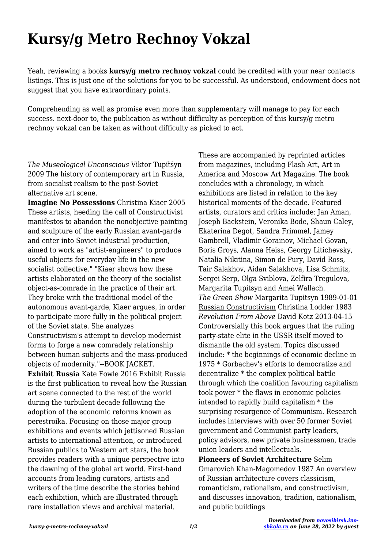## **Kursy/g Metro Rechnoy Vokzal**

Yeah, reviewing a books **kursy/g metro rechnoy vokzal** could be credited with your near contacts listings. This is just one of the solutions for you to be successful. As understood, endowment does not suggest that you have extraordinary points.

Comprehending as well as promise even more than supplementary will manage to pay for each success. next-door to, the publication as without difficulty as perception of this kursy/g metro rechnoy vokzal can be taken as without difficulty as picked to act.

*The Museological Unconscious* Viktor Tupit͡syn 2009 The history of contemporary art in Russia, from socialist realism to the post-Soviet alternative art scene.

**Imagine No Possessions** Christina Kiaer 2005 These artists, heeding the call of Constructivist manifestos to abandon the nonobjective painting and sculpture of the early Russian avant-garde and enter into Soviet industrial production, aimed to work as "artist-engineers" to produce useful objects for everyday life in the new socialist collective." "Kiaer shows how these artists elaborated on the theory of the socialist object-as-comrade in the practice of their art. They broke with the traditional model of the autonomous avant-garde, Kiaer argues, in order to participate more fully in the political project of the Soviet state. She analyzes Constructivism's attempt to develop modernist forms to forge a new comradely relationship between human subjects and the mass-produced objects of modernity."--BOOK JACKET. **Exhibit Russia** Kate Fowle 2016 Exhibit Russia is the first publication to reveal how the Russian art scene connected to the rest of the world during the turbulent decade following the adoption of the economic reforms known as perestroika. Focusing on those major group exhibitions and events which jettisoned Russian artists to international attention, or introduced Russian publics to Western art stars, the book provides readers with a unique perspective into the dawning of the global art world. First-hand accounts from leading curators, artists and writers of the time describe the stories behind each exhibition, which are illustrated through rare installation views and archival material.

These are accompanied by reprinted articles from magazines, including Flash Art, Art in America and Moscow Art Magazine. The book concludes with a chronology, in which exhibitions are listed in relation to the key historical moments of the decade. Featured artists, curators and critics include: Jan Aman, Joseph Backstein, Veronika Bode, Shaun Caley, Ekaterina Degot, Sandra Frimmel, Jamey Gambrell, Vladimir Gorainov, Michael Govan, Boris Groys, Alanna Heiss, Georgy Litichevsky, Natalia Nikitina, Simon de Pury, David Ross, Tair Salakhov, Aidan Salakhova, Lisa Schmitz, Sergei Serp, Olga Sviblova, Zelfira Tregulova, Margarita Tupitsyn and Amei Wallach. *The Green Show* Margarita Tupitsyn 1989-01-01 Russian Constructivism Christina Lodder 1983 *Revolution From Above* David Kotz 2013-04-15 Controversially this book argues that the ruling party-state elite in the USSR itself moved to dismantle the old system. Topics discussed include: \* the beginnings of economic decline in 1975 \* Gorbachev's efforts to democratize and decentralize \* the complex political battle through which the coalition favouring capitalism took power \* the flaws in economic policies intended to rapidly build capitalism \* the surprising resurgence of Communism. Research includes interviews with over 50 former Soviet government and Communist party leaders, policy advisors, new private businessmen, trade union leaders and intellectuals. **Pioneers of Soviet Architecture** Selim

Omarovich Khan-Magomedov 1987 An overview of Russian architecture covers classicism, romanticism, rationalism, and constructivism, and discusses innovation, tradition, nationalism, and public buildings